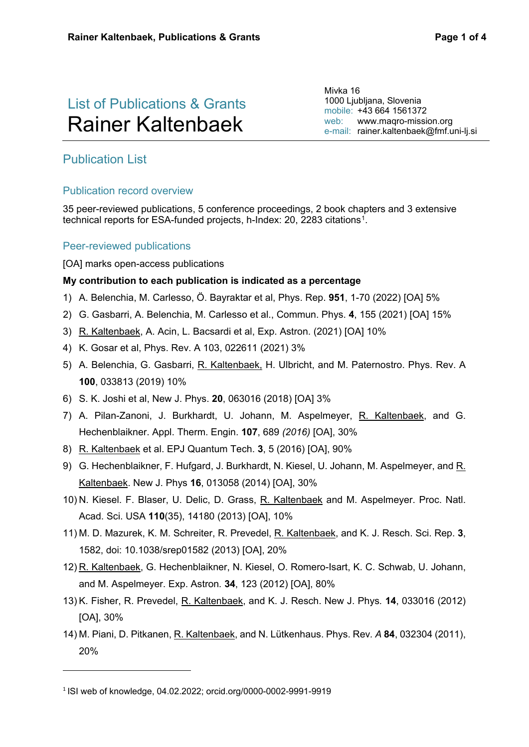# List of Publications & Grants Rainer Kaltenbaek

Mivka 16 1000 Ljubljana, Slovenia mobile: +43 664 1561372 web: [www.maqro-mission.org](http://www.maqro-mission.org/) e-mail: [rainer.kaltenbaek@fmf.uni-lj.si](mailto:rainer.kaltenbaek@univie.ac.at)

# Publication List

# Publication record overview

35 peer-reviewed publications, 5 conference proceedings, 2 book chapters and 3 extensive technical reports for ESA-funded projects, h-Index: 20, 2283 citations<sup>1</sup>.

### Peer-reviewed publications

#### [OA] marks open-access publications

#### **My contribution to each publication is indicated as a percentage**

- 1) A. Belenchia, M. Carlesso, Ö. Bayraktar et al, Phys. Rep. **951**, 1-70 (2022) [OA] 5%
- 2) G. Gasbarri, A. Belenchia, M. Carlesso et al., Commun. Phys. **4**, 155 (2021) [OA] 15%
- 3) R. Kaltenbaek, A. Acin, L. Bacsardi et al, Exp. Astron. (2021) [OA] 10%
- 4) K. Gosar et al, Phys. Rev. A 103, 022611 (2021) 3%
- 5) A. Belenchia, G. Gasbarri, R. Kaltenbaek, H. Ulbricht, and M. Paternostro. Phys. Rev. A **100**, 033813 (2019) 10%
- 6) S. K. Joshi et al, New J. Phys. **20**, 063016 (2018) [OA] 3%
- 7) A. Pilan-Zanoni, J. Burkhardt, U. Johann, M. Aspelmeyer, R. Kaltenbaek, and G. Hechenblaikner. Appl. Therm. Engin. **107**, 689 *(2016)* [OA], 30%
- 8) R. Kaltenbaek et al. EPJ Quantum Tech. **3**, 5 (2016) [OA], 90%
- 9) G. Hechenblaikner, F. Hufgard, J. Burkhardt, N. Kiesel, U. Johann, M. Aspelmeyer, and R. Kaltenbaek. New J. Phys **16**, 013058 (2014) [OA], 30%
- 10) N. Kiesel. F. Blaser, U. Delic, D. Grass, R. Kaltenbaek and M. Aspelmeyer. Proc. Natl. Acad. Sci. USA **110**(35), 14180 (2013) [OA], 10%
- 11) M. D. Mazurek, K. M. Schreiter, R. Prevedel, R. Kaltenbaek, and K. J. Resch. Sci. Rep. **3**, 1582, doi: 10.1038/srep01582 (2013) [OA], 20%
- 12) R. Kaltenbaek, G. Hechenblaikner, N. Kiesel, O. Romero-Isart, K. C. Schwab, U. Johann, and M. Aspelmeyer. Exp. Astron*.* **34**, 123 (2012) [OA], 80%
- 13) K. Fisher, R. Prevedel, R. Kaltenbaek, and K. J. Resch. New J. Phys*.* **14**, 033016 (2012) [OA], 30%
- 14) M. Piani, D. Pitkanen, R. Kaltenbaek, and N. Lütkenhaus. Phys. Rev*. A* **84**, 032304 (2011), 20%

<u>.</u>

<span id="page-0-0"></span><sup>1</sup> ISI web of knowledge, 04.02.2022; orcid.org/0000-0002-9991-9919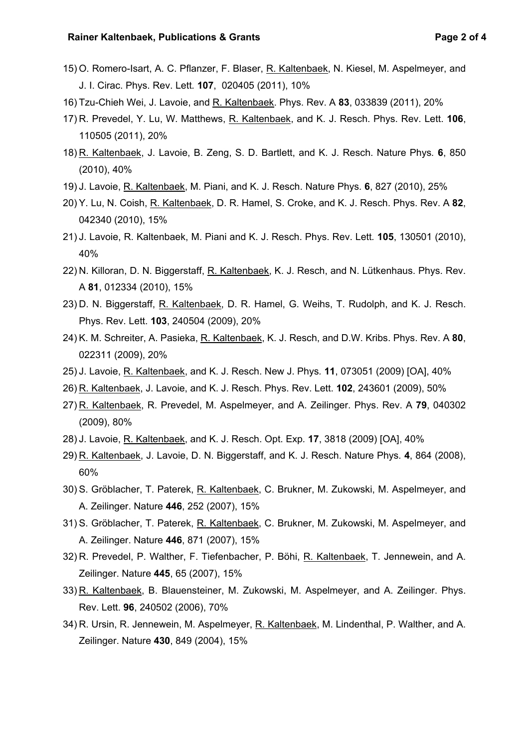- 15) O. Romero-Isart, A. C. Pflanzer, F. Blaser, R. Kaltenbaek, N. Kiesel, M. Aspelmeyer, and J. I. Cirac. Phys. Rev. Lett*.* **107**, 020405 (2011), 10%
- 16) Tzu-Chieh Wei, J. Lavoie, and R. Kaltenbaek. Phys. Rev. A **83**, 033839 (2011), 20%
- 17) R. Prevedel, Y. Lu, W. Matthews, R. Kaltenbaek, and K. J. Resch. Phys. Rev. Lett. **106**, 110505 (2011), 20%
- 18) R. Kaltenbaek, J. Lavoie, B. Zeng, S. D. Bartlett, and K. J. Resch. Nature Phys*.* **6**, 850 (2010), 40%
- 19) J. Lavoie, R. Kaltenbaek, M. Piani, and K. J. Resch. Nature Phys*.* **6**, 827 (2010), 25%
- 20) Y. Lu, N. Coish, R. Kaltenbaek, D. R. Hamel, S. Croke, and K. J. Resch. Phys. Rev. A **82**, 042340 (2010), 15%
- 21) J. Lavoie, R. Kaltenbaek, M. Piani and K. J. Resch. Phys. Rev. Lett*.* **105**, 130501 (2010), 40%
- 22) N. Killoran, D. N. Biggerstaff, R. Kaltenbaek, K. J. Resch, and N. Lütkenhaus. Phys. Rev. A **81**, 012334 (2010), 15%
- 23) D. N. Biggerstaff, R. Kaltenbaek, D. R. Hamel, G. Weihs, T. Rudolph, and K. J. Resch. Phys. Rev. Lett. **103**, 240504 (2009), 20%
- 24) K. M. Schreiter, A. Pasieka, R. Kaltenbaek, K. J. Resch, and D.W. Kribs. Phys. Rev. A **80**, 022311 (2009), 20%
- 25) J. Lavoie, R. Kaltenbaek, and K. J. Resch. New J. Phys*.* **11**, 073051 (2009) [OA], 40%
- 26) R. Kaltenbaek, J. Lavoie, and K. J. Resch. Phys. Rev. Lett. **102**, 243601 (2009), 50%
- 27) R. Kaltenbaek, R. Prevedel, M. Aspelmeyer, and A. Zeilinger. Phys. Rev. A **79**, 040302 (2009), 80%
- 28) J. Lavoie, R. Kaltenbaek, and K. J. Resch. Opt. Exp*.* **17**, 3818 (2009) [OA], 40%
- 29) R. Kaltenbaek, J. Lavoie, D. N. Biggerstaff, and K. J. Resch. Nature Phys*.* **4**, 864 (2008), 60%
- 30) S. Gröblacher, T. Paterek, R. Kaltenbaek, C. Brukner, M. Zukowski, M. Aspelmeyer, and A. Zeilinger. Nature **446**, 252 (2007), 15%
- 31) S. Gröblacher, T. Paterek, R. Kaltenbaek, C. Brukner, M. Zukowski, M. Aspelmeyer, and A. Zeilinger. Nature **446**, 871 (2007), 15%
- 32) R. Prevedel, P. Walther, F. Tiefenbacher, P. Böhi, R. Kaltenbaek, T. Jennewein, and A. Zeilinger. Nature **445**, 65 (2007), 15%
- 33) R. Kaltenbaek, B. Blauensteiner, M. Zukowski, M. Aspelmeyer, and A. Zeilinger. Phys. Rev. Lett. **96**, 240502 (2006), 70%
- 34) R. Ursin, R. Jennewein, M. Aspelmeyer, R. Kaltenbaek, M. Lindenthal, P. Walther, and A. Zeilinger. Nature **430**, 849 (2004), 15%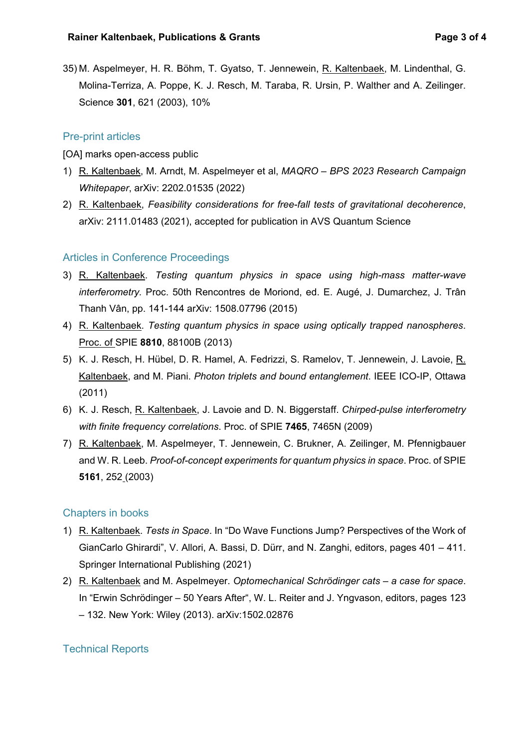35) M. Aspelmeyer, H. R. Böhm, T. Gyatso, T. Jennewein, R. Kaltenbaek, M. Lindenthal, G. Molina-Terriza, A. Poppe, K. J. Resch, M. Taraba, R. Ursin, P. Walther and A. Zeilinger. Science **301**, 621 (2003), 10%

# Pre-print articles

[OA] marks open-access public

- 1) R. Kaltenbaek, M. Arndt, M. Aspelmeyer et al, *MAQRO – BPS 2023 Research Campaign Whitepaper*, arXiv: 2202.01535 (2022)
- 2) R. Kaltenbaek, *Feasibility considerations for free-fall tests of gravitational decoherence*, arXiv: 2111.01483 (2021), accepted for publication in AVS Quantum Science

# Articles in Conference Proceedings

- 3) R. Kaltenbaek. *Testing quantum physics in space using high-mass matter-wave interferometry.* Proc. 50th Rencontres de Moriond, ed. E. Augé, J. Dumarchez, J. Trân Thanh Vân, pp. 141-144 arXiv: 1508.07796 (2015)
- 4) R. Kaltenbaek. *Testing quantum physics in space using optically trapped nanospheres*. Proc. of SPIE **8810**, 88100B (2013)
- 5) K. J. Resch, H. Hübel, D. R. Hamel, A. Fedrizzi, S. Ramelov, T. Jennewein, J. Lavoie, R. Kaltenbaek, and M. Piani. *Photon triplets and bound entanglement*. IEEE ICO-IP, Ottawa (2011)
- 6) K. J. Resch, R. Kaltenbaek, J. Lavoie and D. N. Biggerstaff. *Chirped-pulse interferometry with finite frequency correlations*. Proc. of SPIE **7465**, 7465N (2009)
- 7) R. Kaltenbaek, M. Aspelmeyer, T. Jennewein, C. Brukner, A. Zeilinger, M. Pfennigbauer and W. R. Leeb. *Proof-of-concept experiments for quantum physics in space*. Proc. of SPIE **5161**, 252 (2003)

#### Chapters in books

- 1) R. Kaltenbaek. *Tests in Space*. In "Do Wave Functions Jump? Perspectives of the Work of GianCarlo Ghirardi", V. Allori, A. Bassi, D. Dürr, and N. Zanghi, editors, pages 401 – 411. Springer International Publishing (2021)
- 2) R. Kaltenbaek and M. Aspelmeyer. *Optomechanical Schrödinger cats – a case for space*. In "Erwin Schrödinger – 50 Years After", W. L. Reiter and J. Yngvason, editors, pages 123 – 132. New York: Wiley (2013). arXiv:1502.02876

# Technical Reports